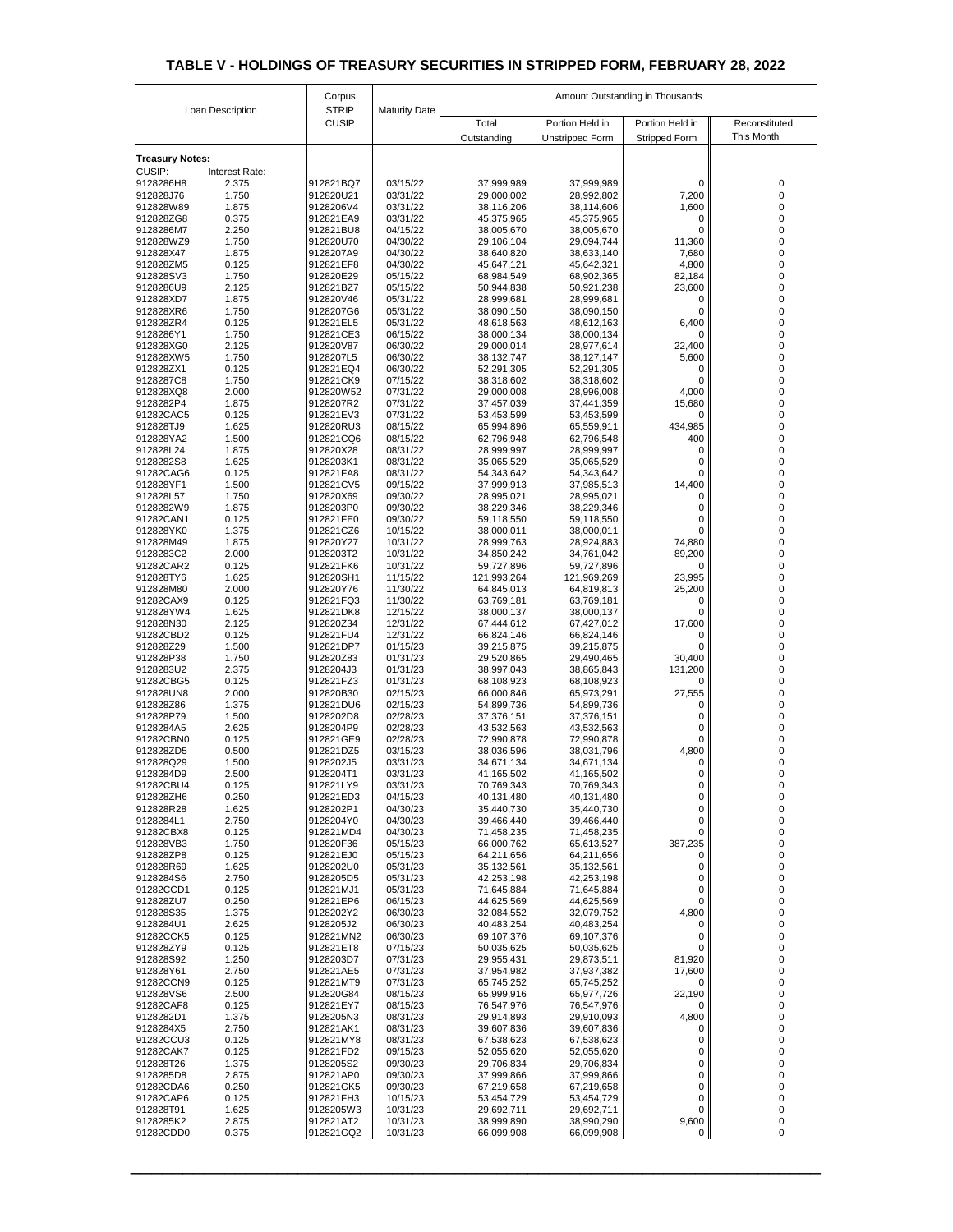|                        |                  | Corpus                       |                      | Amount Outstanding in Thousands |                          |                      |                   |  |
|------------------------|------------------|------------------------------|----------------------|---------------------------------|--------------------------|----------------------|-------------------|--|
|                        | Loan Description | <b>STRIP</b><br><b>CUSIP</b> | <b>Maturity Date</b> | Total                           | Portion Held in          | Portion Held in      | Reconstituted     |  |
|                        |                  |                              |                      | Outstanding                     | <b>Unstripped Form</b>   | <b>Stripped Form</b> | <b>This Month</b> |  |
| <b>Treasury Notes:</b> |                  |                              |                      |                                 |                          |                      |                   |  |
| <b>CUSIP:</b>          | Interest Rate:   |                              |                      |                                 |                          |                      |                   |  |
| 9128286H8              | 2.375            | 912821BQ7                    | 03/15/22             | 37,999,989                      | 37,999,989               | 0                    | 0                 |  |
| 912828J76<br>912828W89 | 1.750<br>1.875   | 912820U21<br>9128206V4       | 03/31/22<br>03/31/22 | 29,000,002<br>38,116,206        | 28,992,802<br>38,114,606 | 7,200<br>1,600       | 0                 |  |
| 912828ZG8              | 0.375            | 912821EA9                    | 03/31/22             | 45,375,965                      | 45,375,965               | 0                    | 0                 |  |
| 9128286M7              | 2.250            | 912821BU8                    | 04/15/22             | 38,005,670                      | 38,005,670               | 0                    |                   |  |
| 912828WZ9              | 1.750            | 912820U70                    | 04/30/22             | 29,106,104                      | 29,094,744               | 11,360               |                   |  |
| 912828X47<br>912828ZM5 | 1.875<br>0.125   | 9128207A9<br>912821EF8       | 04/30/22<br>04/30/22 | 38,640,820<br>45,647,121        | 38,633,140<br>45,642,321 | 7,680<br>4,800       | 0                 |  |
| 912828SV3              | 1.750            | 912820E29                    | 05/15/22             | 68,984,549                      | 68,902,365               | 82,184               | $\Omega$          |  |
| 9128286U9              | 2.125            | 912821BZ7                    | 05/15/22             | 50,944,838                      | 50,921,238               | 23,600               |                   |  |
| 912828XD7<br>912828XR6 | 1.875<br>1.750   | 912820V46<br>9128207G6       | 05/31/22<br>05/31/22 | 28,999,681<br>38,090,150        | 28,999,681<br>38,090,150 | 0<br>0               |                   |  |
| 912828ZR4              | 0.125            | 912821EL5                    | 05/31/22             | 48,618,563                      | 48,612,163               | 6,400                |                   |  |
| 9128286Y1              | 1.750            | 912821CE3                    | 06/15/22             | 38,000,134                      | 38,000,134               | 0                    | $\Omega$          |  |
| 912828XG0<br>912828XW5 | 2.125<br>1.750   | 912820V87<br>9128207L5       | 06/30/22             | 29,000,014                      | 28,977,614               | 22,400               |                   |  |
| 912828ZX1              | 0.125            | 912821EQ4                    | 06/30/22<br>06/30/22 | 38, 132, 747<br>52,291,305      | 38,127,147<br>52,291,305 | 5,600<br>0           | 0<br>0            |  |
| 9128287C8              | 1.750            | 912821CK9                    | 07/15/22             | 38,318,602                      | 38,318,602               | 0                    |                   |  |
| 912828XQ8              | 2.000            | 912820W52                    | 07/31/22             | 29,000,008                      | 28,996,008               | 4,000                |                   |  |
| 9128282P4<br>91282CAC5 | 1.875<br>0.125   | 9128207R2<br>912821EV3       | 07/31/22<br>07/31/22 | 37,457,039<br>53,453,599        | 37,441,359<br>53,453,599 | 15,680<br>0          | 0                 |  |
| 912828TJ9              | 1.625            | 912820RU3                    | 08/15/22             | 65,994,896                      | 65,559,911               | 434,985              |                   |  |
| 912828YA2              | 1.500            | 912821CQ6                    | 08/15/22             | 62,796,948                      | 62,796,548               | 400                  |                   |  |
| 912828L24<br>9128282S8 | 1.875<br>1.625   | 912820X28<br>9128203K1       | 08/31/22<br>08/31/22 | 28,999,997<br>35,065,529        | 28,999,997<br>35,065,529 | 0<br>0               |                   |  |
| 91282CAG6              | 0.125            | 912821FA8                    | 08/31/22             | 54,343,642                      | 54,343,642               | 0                    |                   |  |
| 912828YF1              | 1.500            | 912821CV5                    | 09/15/22             | 37,999,913                      | 37,985,513               | 14,400               |                   |  |
| 912828L57              | 1.750            | 912820X69                    | 09/30/22             | 28,995,021                      | 28,995,021               |                      |                   |  |
| 9128282W9<br>91282CAN1 | 1.875<br>0.125   | 9128203P0<br>912821FE0       | 09/30/22<br>09/30/22 | 38,229,346<br>59,118,550        | 38,229,346<br>59,118,550 |                      |                   |  |
| 912828YK0              | 1.375            | 912821CZ6                    | 10/15/22             | 38,000,011                      | 38,000,011               |                      |                   |  |
| 912828M49              | 1.875            | 912820Y27                    | 10/31/22             | 28,999,763                      | 28,924,883               | 74,880               |                   |  |
| 9128283C2<br>91282CAR2 | 2.000<br>0.125   | 9128203T2<br>912821FK6       | 10/31/22<br>10/31/22 | 34,850,242<br>59,727,896        | 34,761,042<br>59,727,896 | 89,200<br>$\Omega$   |                   |  |
| 912828TY6              | 1.625            | 912820SH1                    | 11/15/22             | 121,993,264                     | 121,969,269              | 23,995               |                   |  |
| 912828M80              | 2.000            | 912820Y76                    | 11/30/22             | 64,845,013                      | 64,819,813               | 25,200               |                   |  |
| 91282CAX9<br>912828YW4 | 0.125<br>1.625   | 912821FQ3<br>912821DK8       | 11/30/22<br>12/15/22 | 63,769,181<br>38,000,137        | 63,769,181<br>38,000,137 |                      |                   |  |
| 912828N30              | 2.125            | 912820Z34                    | 12/31/22             | 67,444,612                      | 67,427,012               | 17,600               |                   |  |
| 91282CBD2              | 0.125            | 912821FU4                    | 12/31/22             | 66,824,146                      | 66,824,146               | 0                    |                   |  |
| 912828Z29              | 1.500            | 912821DP7                    | 01/15/23             | 39,215,875                      | 39,215,875               |                      |                   |  |
| 912828P38<br>9128283U2 | 1.750<br>2.375   | 912820Z83<br>9128204J3       | 01/31/23<br>01/31/23 | 29,520,865<br>38,997,043        | 29,490,465<br>38,865,843 | 30,400<br>131,200    |                   |  |
| 91282CBG5              | 0.125            | 912821FZ3                    | 01/31/23             | 68,108,923                      | 68,108,923               | 0                    |                   |  |
| 912828UN8              | 2.000            | 912820B30                    | 02/15/23             | 66,000,846                      | 65,973,291               | 27,555               |                   |  |
| 912828Z86<br>912828P79 | 1.375<br>1.500   | 912821DU6<br>9128202D8       | 02/15/23<br>02/28/23 | 54,899,736<br>37,376,151        | 54,899,736<br>37,376,151 | 0                    |                   |  |
| 9128284A5              | 2.625            | 9128204P9                    | 02/28/23             | 43,532,563                      | 43,532,563               |                      |                   |  |
| 91282CBN0              | 0.125            | 912821GE9                    | 02/28/23             | 72,990,878                      | 72,990,878               | 0                    |                   |  |
| 912828ZD5<br>912828Q29 | 0.500<br>1.500   | 912821DZ5<br>9128202J5       | 03/15/23<br>03/31/23 | 38,036,596<br>34,671,134        | 38,031,796<br>34,671,134 | 4,800<br>0           |                   |  |
| 9128284D9              | 2.500            | 9128204T1                    | 03/31/23             | 41,165,502                      | 41,165,502               |                      |                   |  |
| 91282CBU4              | 0.125            | 912821LY9                    | 03/31/23             | 70,769,343                      | 70,769,343               |                      |                   |  |
| 912828ZH6<br>912828R28 | 0.250<br>1.625   | 912821ED3<br>9128202P1       | 04/15/23<br>04/30/23 | 40,131,480<br>35,440,730        | 40,131,480<br>35,440,730 |                      |                   |  |
| 9128284L1              | 2.750            | 9128204Y0                    | 04/30/23             | 39,466,440                      | 39,466,440               | 0<br>0               | 0                 |  |
| 91282CBX8              | 0.125            | 912821MD4                    | 04/30/23             | 71,458,235                      | 71,458,235               | 0                    |                   |  |
| 912828VB3              | 1.750            | 912820F36                    | 05/15/23             | 66,000,762                      | 65,613,527               | 387,235              |                   |  |
| 912828ZP8<br>912828R69 | 0.125<br>1.625   | 912821EJ0<br>9128202U0       | 05/15/23<br>05/31/23 | 64,211,656<br>35,132,561        | 64,211,656<br>35,132,561 | 0<br>0               |                   |  |
| 9128284S6              | 2.750            | 9128205D5                    | 05/31/23             | 42,253,198                      | 42,253,198               | 0                    |                   |  |
| 91282CCD1              | 0.125            | 912821MJ1                    | 05/31/23             | 71,645,884                      | 71,645,884               | 0                    |                   |  |
| 912828ZU7<br>912828S35 | 0.250<br>1.375   | 912821EP6<br>9128202Y2       | 06/15/23<br>06/30/23 | 44,625,569<br>32,084,552        | 44,625,569<br>32,079,752 | 0<br>4,800           |                   |  |
| 9128284U1              | 2.625            | 9128205J2                    | 06/30/23             | 40,483,254                      | 40,483,254               | $\Omega$             |                   |  |
| 91282CCK5              | 0.125            | 912821MN2                    | 06/30/23             | 69,107,376                      | 69,107,376               |                      |                   |  |
| 912828ZY9<br>912828S92 | 0.125<br>1.250   | 912821ET8<br>9128203D7       | 07/15/23<br>07/31/23 | 50,035,625<br>29,955,431        | 50,035,625<br>29,873,511 | 0<br>81,920          |                   |  |
| 912828Y61              | 2.750            | 912821AE5                    | 07/31/23             | 37,954,982                      | 37,937,382               | 17,600               |                   |  |
| 91282CCN9              | 0.125            | 912821MT9                    | 07/31/23             | 65,745,252                      | 65,745,252               | 0                    |                   |  |
| 912828VS6              | 2.500<br>0.125   | 912820G84                    | 08/15/23             | 65,999,916                      | 65,977,726               | 22,190<br>0          |                   |  |
| 91282CAF8<br>9128282D1 | 1.375            | 912821EY7<br>9128205N3       | 08/15/23<br>08/31/23 | 76,547,976<br>29,914,893        | 76,547,976<br>29,910,093 | 4,800                |                   |  |
| 9128284X5              | 2.750            | 912821AK1                    | 08/31/23             | 39,607,836                      | 39,607,836               | 0                    |                   |  |
| 91282CCU3              | 0.125            | 912821MY8                    | 08/31/23             | 67,538,623                      | 67,538,623               | 0                    |                   |  |
| 91282CAK7<br>912828T26 | 0.125<br>1.375   | 912821FD2<br>9128205S2       | 09/15/23<br>09/30/23 | 52,055,620<br>29,706,834        | 52,055,620<br>29,706,834 | 0<br>0               | 0                 |  |
| 9128285D8              | 2.875            | 912821AP0                    | 09/30/23             | 37,999,866                      | 37,999,866               | 0                    |                   |  |
| 91282CDA6              | 0.250            | 912821GK5                    | 09/30/23             | 67,219,658                      | 67,219,658               | 0                    |                   |  |
| 91282CAP6<br>912828T91 | 0.125<br>1.625   | 912821FH3<br>9128205W3       | 10/15/23<br>10/31/23 | 53,454,729<br>29,692,711        | 53,454,729<br>29,692,711 | 0<br>$\overline{0}$  |                   |  |
| 9128285K2              | 2.875            | 912821AT2                    | 10/31/23             | 38,999,890                      | 38,990,290               | 9,600                | 0                 |  |
| 91282CDD0              | 0.375            | 912821GQ2                    | 10/31/23             | 66,099,908                      | 66,099,908               | 0                    | 0                 |  |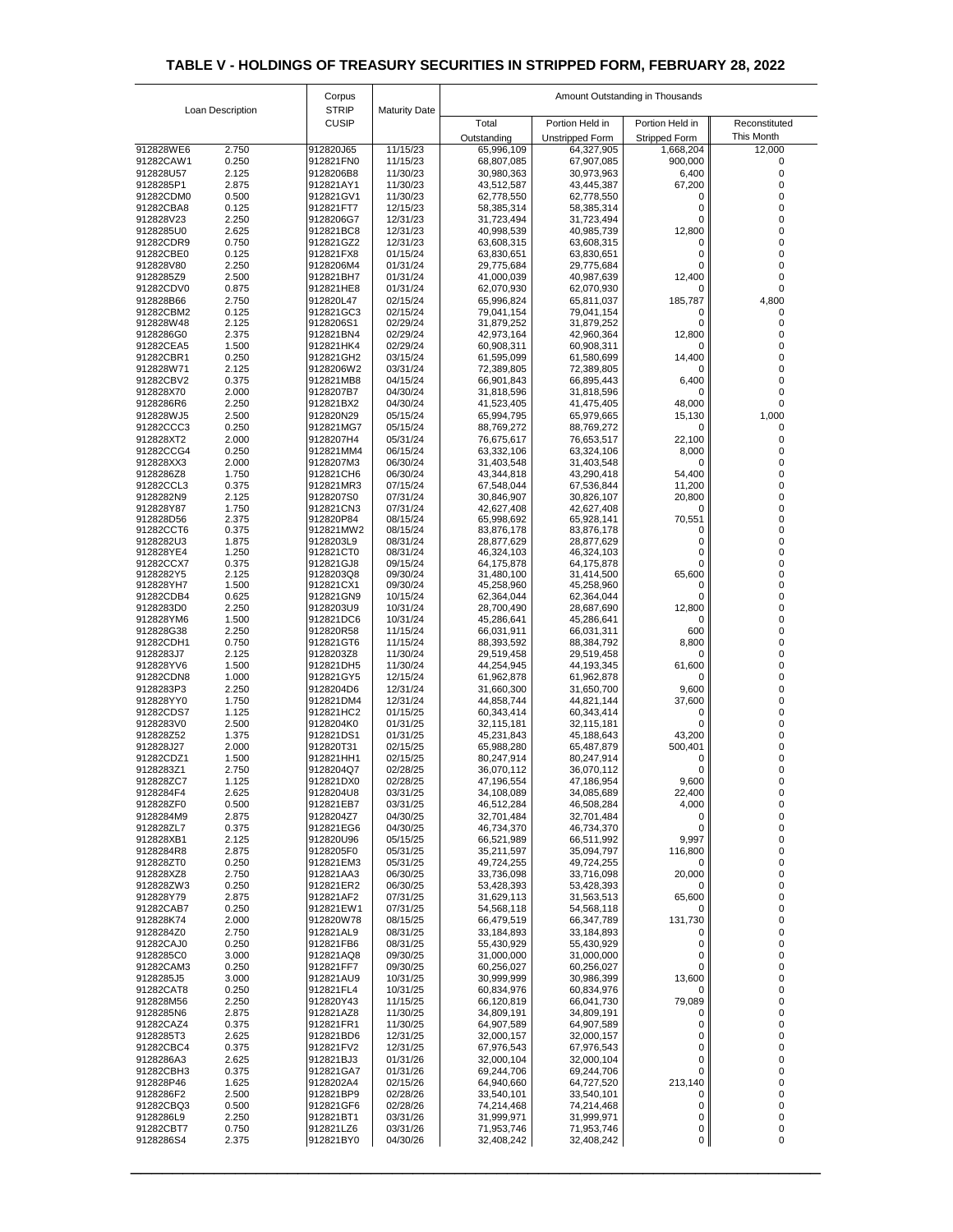| Loan Description       |                | Corpus                       |                      | Amount Outstanding in Thousands |                                           |                                         |                             |  |
|------------------------|----------------|------------------------------|----------------------|---------------------------------|-------------------------------------------|-----------------------------------------|-----------------------------|--|
|                        |                | <b>STRIP</b><br><b>CUSIP</b> | <b>Maturity Date</b> |                                 |                                           |                                         |                             |  |
|                        |                |                              |                      | Total<br>Outstanding            | Portion Held in<br><b>Unstripped Form</b> | Portion Held in<br><b>Stripped Form</b> | Reconstituted<br>This Month |  |
| 912828WE6              | 2.750          | 912820J65                    | 11/15/23             | 65,996,109                      | 64,327,905                                | 1,668,204                               | 12,000                      |  |
| 91282CAW1              | 0.250          | 912821FN0                    | 11/15/23             | 68,807,085                      | 67,907,085                                | 900,000                                 |                             |  |
| 912828U57              | 2.125          | 9128206B8                    | 11/30/23             | 30,980,363                      | 30,973,963                                | 6,400                                   |                             |  |
| 9128285P1<br>91282CDM0 | 2.875<br>0.500 | 912821AY1<br>912821GV1       | 11/30/23<br>11/30/23 | 43,512,587<br>62,778,550        | 43,445,387<br>62,778,550                  | 67,200<br>$\mathbf{0}$                  |                             |  |
| 91282CBA8              | 0.125          | 912821FT7                    | 12/15/23             | 58,385,314                      | 58,385,314                                |                                         |                             |  |
| 912828V23              | 2.250          | 9128206G7                    | 12/31/23             | 31,723,494                      | 31,723,494                                | O                                       |                             |  |
| 9128285U0              | 2.625          | 912821BC8                    | 12/31/23             | 40,998,539                      | 40,985,739                                | 12,800                                  |                             |  |
| 91282CDR9<br>91282CBE0 | 0.750<br>0.125 | 912821GZ2<br>912821FX8       | 12/31/23<br>01/15/24 | 63,608,315<br>63,830,651        | 63,608,315<br>63,830,651                  | $\Omega$<br>0                           |                             |  |
| 912828V80              | 2.250          | 9128206M4                    | 01/31/24             | 29,775,684                      | 29,775,684                                | 0                                       |                             |  |
| 9128285Z9              | 2.500          | 912821BH7                    | 01/31/24             | 41,000,039                      | 40,987,639                                | 12,400                                  |                             |  |
| 91282CDV0<br>912828B66 | 0.875<br>2.750 | 912821HE8<br>912820L47       | 01/31/24<br>02/15/24 | 62,070,930<br>65,996,824        | 62,070,930<br>65,811,037                  | 0<br>185,787                            | 4,800                       |  |
| 91282CBM2              | 0.125          | 912821GC3                    | 02/15/24             | 79,041,154                      | 79,041,154                                | 0                                       |                             |  |
| 912828W48              | 2.125          | 9128206S1                    | 02/29/24             | 31,879,252                      | 31,879,252                                | 0                                       |                             |  |
| 9128286G0<br>91282CEA5 | 2.375<br>1.500 | 912821BN4<br>912821HK4       | 02/29/24<br>02/29/24 | 42,973,164<br>60,908,311        | 42,960,364<br>60,908,311                  | 12,800<br>0                             |                             |  |
| 91282CBR1              | 0.250          | 912821GH2                    | 03/15/24             | 61,595,099                      | 61,580,699                                | 14,400                                  |                             |  |
| 912828W71              | 2.125          | 9128206W2                    | 03/31/24             | 72,389,805                      | 72,389,805                                | 0                                       |                             |  |
| 91282CBV2              | 0.375          | 912821MB8                    | 04/15/24             | 66,901,843                      | 66,895,443                                | 6,400                                   |                             |  |
| 912828X70<br>9128286R6 | 2.000<br>2.250 | 9128207B7<br>912821BX2       | 04/30/24<br>04/30/24 | 31,818,596<br>41,523,405        | 31,818,596<br>41,475,405                  | 0<br>48,000                             | 0                           |  |
| 912828WJ5              | 2.500          | 912820N29                    | 05/15/24             | 65,994,795                      | 65,979,665                                | 15,130                                  | 1,000                       |  |
| 91282CCC3              | 0.250          | 912821MG7                    | 05/15/24             | 88,769,272                      | 88,769,272                                | 0                                       |                             |  |
| 912828XT2              | 2.000          | 9128207H4                    | 05/31/24             | 76,675,617                      | 76,653,517                                | 22,100                                  |                             |  |
| 91282CCG4<br>912828XX3 | 0.250<br>2.000 | 912821MM4<br>9128207M3       | 06/15/24<br>06/30/24 | 63,332,106<br>31,403,548        | 63,324,106<br>31,403,548                  | 8,000<br>0                              |                             |  |
| 9128286Z8              | 1.750          | 912821CH6                    | 06/30/24             | 43,344,818                      | 43,290,418                                | 54,400                                  |                             |  |
| 91282CCL3              | 0.375          | 912821MR3                    | 07/15/24             | 67,548,044                      | 67,536,844                                | 11,200                                  |                             |  |
| 9128282N9<br>912828Y87 | 2.125<br>1.750 | 9128207S0<br>912821CN3       | 07/31/24<br>07/31/24 | 30,846,907<br>42,627,408        | 30,826,107<br>42,627,408                  | 20,800<br>$\Omega$                      |                             |  |
| 912828D56              | 2.375          | 912820P84                    | 08/15/24             | 65,998,692                      | 65,928,141                                | 70,551                                  |                             |  |
| 91282CCT6              | 0.375          | 912821MW2                    | 08/15/24             | 83,876,178                      | 83,876,178                                | 0                                       |                             |  |
| 9128282U3<br>912828YE4 | 1.875<br>1.250 | 9128203L9<br>912821CT0       | 08/31/24<br>08/31/24 | 28,877,629<br>46,324,103        | 28,877,629<br>46,324,103                  |                                         |                             |  |
| 91282CCX7              | 0.375          | 912821GJ8                    | 09/15/24             | 64,175,878                      | 64,175,878                                | 0                                       |                             |  |
| 9128282Y5              | 2.125          | 9128203Q8                    | 09/30/24             | 31,480,100                      | 31,414,500                                | 65,600                                  |                             |  |
| 912828YH7<br>91282CDB4 | 1.500<br>0.625 | 912821CX1<br>912821GN9       | 09/30/24<br>10/15/24 | 45,258,960<br>62,364,044        | 45,258,960<br>62,364,044                  | $\Omega$                                |                             |  |
| 9128283D0              | 2.250          | 9128203U9                    | 10/31/24             | 28,700,490                      | 28,687,690                                | 12,800                                  |                             |  |
| 912828YM6              | 1.500          | 912821DC6                    | 10/31/24             | 45,286,641                      | 45,286,641                                | 0                                       |                             |  |
| 912828G38<br>91282CDH1 | 2.250<br>0.750 | 912820R58<br>912821GT6       | 11/15/24<br>11/15/24 | 66,031,911<br>88,393,592        | 66,031,311<br>88,384,792                  | 600<br>8,800                            |                             |  |
| 9128283J7              | 2.125          | 9128203Z8                    | 11/30/24             | 29,519,458                      | 29,519,458                                | 0                                       |                             |  |
| 912828YV6              | 1.500          | 912821DH5                    | 11/30/24             | 44,254,945                      | 44,193,345                                | 61,600                                  |                             |  |
| 91282CDN8<br>9128283P3 | 1.000<br>2.250 | 912821GY5<br>9128204D6       | 12/15/24<br>12/31/24 | 61,962,878<br>31,660,300        | 61,962,878<br>31,650,700                  | 0<br>9,600                              |                             |  |
| 912828YY0              | 1.750          | 912821DM4                    | 12/31/24             | 44,858,744                      | 44,821,144                                | 37,600                                  |                             |  |
| 91282CDS7              | 1.125          | 912821HC2                    | 01/15/25             | 60,343,414                      | 60,343,414                                | $\Omega$                                |                             |  |
| 9128283V0              | 2.500          | 9128204K0                    | 01/31/25             | 32,115,181                      | 32,115,181                                |                                         |                             |  |
| 912828Z52<br>912828J27 | 1.375<br>2.000 | 912821DS1<br>912820T31       | 01/31/25<br>02/15/25 | 45,231,843<br>65,988,280        | 45,188,643<br>65,487,879                  | 43,200<br>500,401                       |                             |  |
| 91282CDZ1              | 1.500          | 912821HH1                    | 02/15/25             | 80,247,914                      | 80,247,914                                | $\Omega$                                |                             |  |
| 9128283Z1              | 2.750          | 9128204Q7                    | 02/28/25             | 36,070,112                      | 36,070,112                                |                                         |                             |  |
| 912828ZC7<br>9128284F4 | 1.125<br>2.625 | 912821DX0<br>9128204U8       | 02/28/25<br>03/31/25 | 47,196,554<br>34,108,089        | 47,186,954<br>34,085,689                  | 9,600<br>22,400                         |                             |  |
| 912828ZF0              | 0.500          | 912821EB7                    | 03/31/25             | 46,512,284                      | 46,508,284                                | 4,000                                   |                             |  |
| 9128284M9              | 2.875          | 9128204Z7                    | 04/30/25             | 32,701,484                      | 32,701,484                                | Ü                                       |                             |  |
| 912828ZL7<br>912828XB1 | 0.375<br>2.125 | 912821EG6<br>912820U96       | 04/30/25<br>05/15/25 | 46,734,370<br>66,521,989        | 46,734,370<br>66,511,992                  | 0<br>9,997                              |                             |  |
| 9128284R8              | 2.875          | 9128205F0                    | 05/31/25             | 35,211,597                      | 35,094,797                                | 116,800                                 |                             |  |
| 912828ZT0              | 0.250          | 912821EM3                    | 05/31/25             | 49,724,255                      | 49,724,255                                | 0                                       |                             |  |
| 912828XZ8<br>912828ZW3 | 2.750<br>0.250 | 912821AA3<br>912821ER2       | 06/30/25<br>06/30/25 | 33,736,098                      | 33,716,098                                | 20,000<br>0                             |                             |  |
| 912828Y79              | 2.875          | 912821AF2                    | 07/31/25             | 53,428,393<br>31,629,113        | 53,428,393<br>31,563,513                  | 65,600                                  |                             |  |
| 91282CAB7              | 0.250          | 912821EW1                    | 07/31/25             | 54,568,118                      | 54,568,118                                | 0                                       |                             |  |
| 912828K74              | 2.000          | 912820W78                    | 08/15/25             | 66,479,519                      | 66,347,789                                | 131,730                                 |                             |  |
| 9128284Z0<br>91282CAJ0 | 2.750<br>0.250 | 912821AL9<br>912821FB6       | 08/31/25<br>08/31/25 | 33,184,893<br>55,430,929        | 33,184,893<br>55,430,929                  | $\Omega$                                |                             |  |
| 9128285C0              | 3.000          | 912821AQ8                    | 09/30/25             | 31,000,000                      | 31,000,000                                | ი                                       |                             |  |
| 91282CAM3              | 0.250          | 912821FF7                    | 09/30/25             | 60,256,027                      | 60,256,027                                |                                         |                             |  |
| 9128285J5<br>91282CAT8 | 3.000<br>0.250 | 912821AU9<br>912821FL4       | 10/31/25<br>10/31/25 | 30,999,999<br>60,834,976        | 30,986,399<br>60,834,976                  | 13,600<br>0                             |                             |  |
| 912828M56              | 2.250          | 912820Y43                    | 11/15/25             | 66,120,819                      | 66,041,730                                | 79,089                                  |                             |  |
| 9128285N6              | 2.875          | 912821AZ8                    | 11/30/25             | 34,809,191                      | 34,809,191                                | 0                                       |                             |  |
| 91282CAZ4              | 0.375          | 912821FR1                    | 11/30/25             | 64,907,589                      | 64,907,589                                | $\Omega$                                |                             |  |
| 9128285T3<br>91282CBC4 | 2.625<br>0.375 | 912821BD6<br>912821FV2       | 12/31/25<br>12/31/25 | 32,000,157<br>67,976,543        | 32,000,157<br>67,976,543                  | 0<br>0                                  |                             |  |
| 9128286A3              | 2.625          | 912821BJ3                    | 01/31/26             | 32,000,104                      | 32,000,104                                | 0                                       |                             |  |
| 91282CBH3              | 0.375          | 912821GA7                    | 01/31/26             | 69,244,706                      | 69,244,706                                | 0                                       |                             |  |
| 912828P46<br>9128286F2 | 1.625<br>2.500 | 9128202A4<br>912821BP9       | 02/15/26<br>02/28/26 | 64,940,660<br>33,540,101        | 64,727,520<br>33,540,101                  | 213,140<br>$\Omega$                     |                             |  |
| 91282CBQ3              | 0.500          | 912821GF6                    | 02/28/26             | 74,214,468                      | 74,214,468                                | 0                                       |                             |  |
| 9128286L9              | 2.250          | 912821BT1                    | 03/31/26             | 31,999,971                      | 31,999,971                                | 0                                       |                             |  |
| 91282CBT7<br>9128286S4 | 0.750<br>2.375 | 912821LZ6<br>912821BY0       | 03/31/26<br>04/30/26 | 71,953,746<br>32,408,242        | 71,953,746<br>32,408,242                  | 0<br>0                                  |                             |  |
|                        |                |                              |                      |                                 |                                           |                                         |                             |  |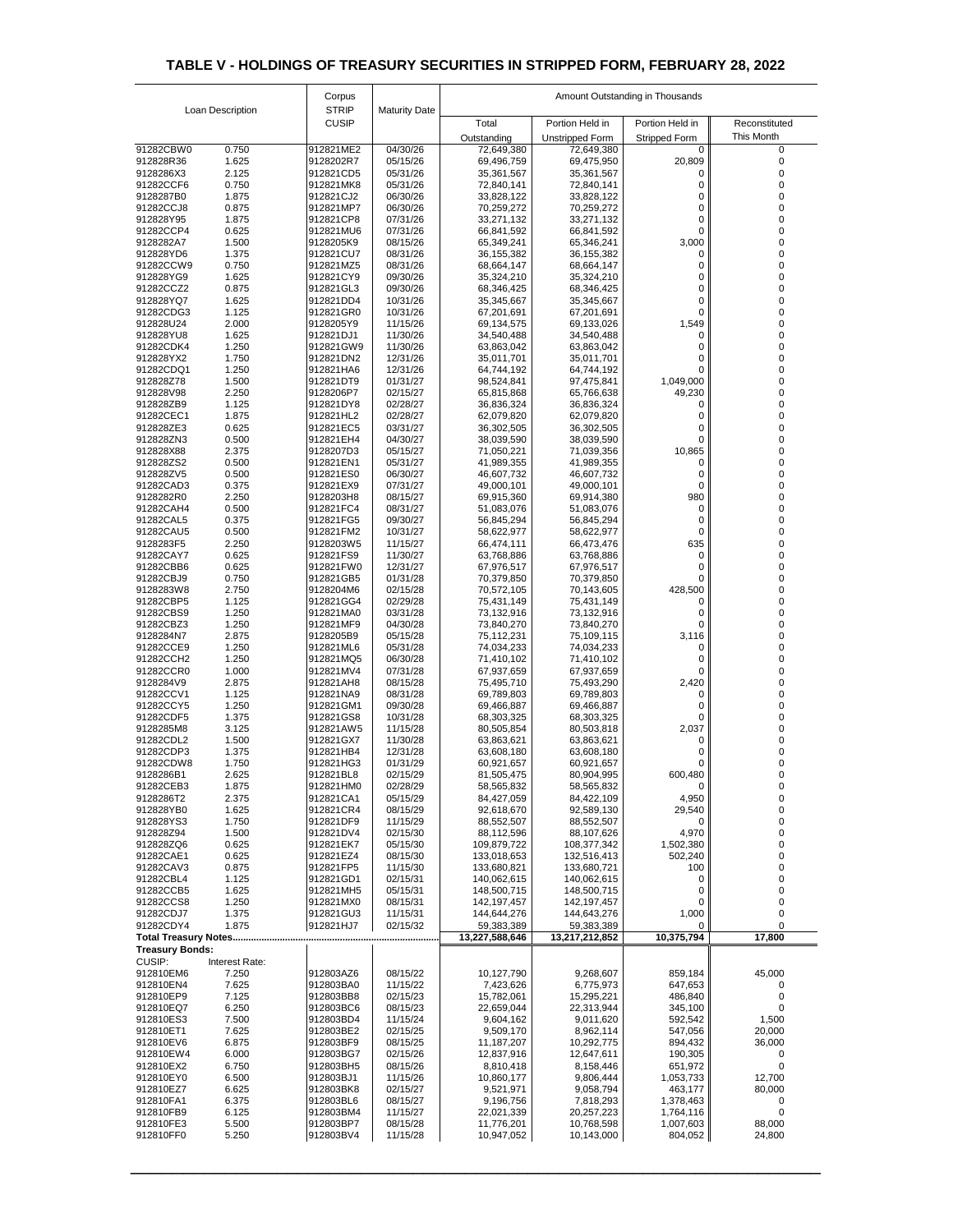|                                          |                  | Corpus                       |                      | Amount Outstanding in Thousands |                              |                        |                    |
|------------------------------------------|------------------|------------------------------|----------------------|---------------------------------|------------------------------|------------------------|--------------------|
|                                          | Loan Description | <b>STRIP</b><br><b>CUSIP</b> | <b>Maturity Date</b> | Total                           | Portion Held in              | Portion Held in        | Reconstituted      |
|                                          |                  |                              |                      | Outstanding                     | <b>Unstripped Form</b>       | <b>Stripped Form</b>   | This Month         |
| 91282CBW0                                | 0.750            | 912821ME2                    | 04/30/26             | 72,649,380                      | 72,649,380                   | 0                      | 0                  |
| 912828R36                                | 1.625            | 9128202R7                    | 05/15/26             | 69,496,759                      | 69,475,950                   | 20,809                 |                    |
| 9128286X3<br>91282CCF6                   | 2.125<br>0.750   | 912821CD5<br>912821MK8       | 05/31/26<br>05/31/26 | 35,361,567<br>72,840,141        | 35,361,567<br>72,840,141     |                        |                    |
| 9128287B0                                | 1.875            | 912821CJ2                    | 06/30/26             | 33,828,122                      | 33,828,122                   |                        |                    |
| 91282CCJ8                                | 0.875            | 912821MP7                    | 06/30/26             | 70,259,272                      | 70,259,272                   | 0                      |                    |
| 912828Y95<br>91282CCP4                   | 1.875<br>0.625   | 912821CP8<br>912821MU6       | 07/31/26<br>07/31/26 | 33,271,132<br>66,841,592        | 33,271,132<br>66,841,592     | 0<br>0                 |                    |
| 9128282A7                                | 1.500            | 9128205K9                    | 08/15/26             | 65,349,241                      | 65,346,241                   | 3,000                  |                    |
| 912828YD6                                | 1.375            | 912821CU7                    | 08/31/26             | 36, 155, 382                    | 36, 155, 382                 | 0                      |                    |
| 91282CCW9<br>912828YG9                   | 0.750<br>1.625   | 912821MZ5<br>912821CY9       | 08/31/26<br>09/30/26 | 68,664,147                      | 68,664,147                   |                        |                    |
| 91282CCZ2                                | 0.875            | 912821GL3                    | 09/30/26             | 35,324,210<br>68,346,425        | 35,324,210<br>68,346,425     | 0<br>0                 |                    |
| 912828YQ7                                | 1.625            | 912821DD4                    | 10/31/26             | 35,345,667                      | 35,345,667                   | 0                      |                    |
| 91282CDG3                                | 1.125            | 912821GR0                    | 10/31/26             | 67,201,691                      | 67,201,691                   |                        |                    |
| 912828U24<br>912828YU8                   | 2.000<br>1.625   | 9128205Y9<br>912821DJ1       | 11/15/26<br>11/30/26 | 69,134,575<br>34,540,488        | 69,133,026<br>34,540,488     | 1,549<br>0             | 0                  |
| 91282CDK4                                | 1.250            | 912821GW9                    | 11/30/26             | 63,863,042                      | 63,863,042                   |                        |                    |
| 912828YX2                                | 1.750            | 912821DN2                    | 12/31/26             | 35,011,701                      | 35,011,701                   |                        |                    |
| 91282CDQ1<br>912828Z78                   | 1.250<br>1.500   | 912821HA6<br>912821DT9       | 12/31/26<br>01/31/27 | 64,744,192<br>98,524,841        | 64,744,192<br>97,475,841     | 1,049,000              |                    |
| 912828V98                                | 2.250            | 9128206P7                    | 02/15/27             | 65,815,868                      | 65,766,638                   | 49,230                 |                    |
| 912828ZB9                                | 1.125            | 912821DY8                    | 02/28/27             | 36,836,324                      | 36,836,324                   |                        |                    |
| 91282CEC1                                | 1.875            | 912821HL2                    | 02/28/27             | 62,079,820                      | 62,079,820                   |                        |                    |
| 912828ZE3<br>912828ZN3                   | 0.625<br>0.500   | 912821EC5<br>912821EH4       | 03/31/27<br>04/30/27 | 36,302,505<br>38,039,590        | 36,302,505<br>38,039,590     |                        |                    |
| 912828X88                                | 2.375            | 9128207D3                    | 05/15/27             | 71,050,221                      | 71,039,356                   | 10,865                 |                    |
| 912828ZS2                                | 0.500            | 912821EN1                    | 05/31/27             | 41,989,355                      | 41,989,355                   | $\overline{0}$         |                    |
| 912828ZV5<br>91282CAD3                   | 0.500<br>0.375   | 912821ES0<br>912821EX9       | 06/30/27<br>07/31/27 | 46,607,732<br>49,000,101        | 46,607,732<br>49,000,101     | $\overline{0}$         |                    |
| 9128282R0                                | 2.250            | 9128203H8                    | 08/15/27             | 69,915,360                      | 69,914,380                   | 980                    |                    |
| 91282CAH4                                | 0.500            | 912821FC4                    | 08/31/27             | 51,083,076                      | 51,083,076                   | 0                      |                    |
| 91282CAL5<br>91282CAU5                   | 0.375<br>0.500   | 912821FG5<br>912821FM2       | 09/30/27<br>10/31/27 | 56,845,294                      | 56,845,294                   | 0                      |                    |
| 9128283F5                                | 2.250            | 9128203W5                    | 11/15/27             | 58,622,977<br>66,474,111        | 58,622,977<br>66,473,476     | 635                    |                    |
| 91282CAY7                                | 0.625            | 912821FS9                    | 11/30/27             | 63,768,886                      | 63,768,886                   |                        |                    |
| 91282CBB6                                | 0.625            | 912821FW0                    | 12/31/27             | 67,976,517                      | 67,976,517                   |                        |                    |
| 91282CBJ9<br>9128283W8                   | 0.750<br>2.750   | 912821GB5<br>9128204M6       | 01/31/28<br>02/15/28 | 70,379,850<br>70,572,105        | 70,379,850<br>70,143,605     | 428,500                |                    |
| 91282CBP5                                | 1.125            | 912821GG4                    | 02/29/28             | 75,431,149                      | 75,431,149                   |                        |                    |
| 91282CBS9                                | 1.250            | 912821MA0                    | 03/31/28             | 73,132,916                      | 73,132,916                   |                        |                    |
| 91282CBZ3<br>9128284N7                   | 1.250<br>2.875   | 912821MF9<br>9128205B9       | 04/30/28<br>05/15/28 | 73,840,270<br>75,112,231        | 73,840,270<br>75,109,115     | 3,116                  |                    |
| 91282CCE9                                | 1.250            | 912821ML6                    | 05/31/28             | 74,034,233                      | 74,034,233                   | 0                      |                    |
| 91282CCH2                                | 1.250            | 912821MQ5                    | 06/30/28             | 71,410,102                      | 71,410,102                   |                        |                    |
| 91282CCR0<br>9128284V9                   | 1.000<br>2.875   | 912821MV4<br>912821AH8       | 07/31/28<br>08/15/28 | 67,937,659<br>75,495,710        | 67,937,659<br>75,493,290     | 2,420                  |                    |
| 91282CCV1                                | 1.125            | 912821NA9                    | 08/31/28             | 69,789,803                      | 69,789,803                   | 0                      |                    |
| 91282CCY5                                | 1.250            | 912821GM1                    | 09/30/28             | 69,466,887                      | 69,466,887                   |                        |                    |
| 91282CDF5                                | 1.375            | 912821GS8                    | 10/31/28             | 68,303,325                      | 68,303,325                   |                        |                    |
| 9128285M8<br>91282CDL2                   | 3.125<br>1.500   | 912821AW5<br>912821GX7       | 11/15/28<br>11/30/28 | 80,505,854<br>63,863,621        | 80,503,818<br>63,863,621     | 2,037                  |                    |
| 91282CDP3                                | 1.375            | 912821HB4                    | 12/31/28             | 63,608,180                      | 63,608,180                   |                        |                    |
| 91282CDW8                                | 1.750            | 912821HG3                    | 01/31/29             | 60,921,657                      | 60,921,657                   |                        |                    |
| 9128286B1<br>91282CEB3                   | 2.625<br>1.875   | 912821BL8<br>912821HM0       | 02/15/29<br>02/28/29 | 81,505,475<br>58,565,832        | 80,904,995<br>58,565,832     | 600,480                |                    |
| 9128286T2                                | 2.375            | 912821CA1                    | 05/15/29             | 84,427,059                      | 84,422,109                   | 4,950                  |                    |
| 912828YB0                                | 1.625            | 912821CR4                    | 08/15/29             | 92,618,670                      | 92,589,130                   | 29,540                 |                    |
| 912828YS3<br>912828Z94                   | 1.750<br>1.500   | 912821DF9<br>912821DV4       | 11/15/29<br>02/15/30 | 88,552,507<br>88,112,596        | 88,552,507<br>88,107,626     | $\mathbf 0$<br>4,970   | 0<br>0             |
| 912828ZQ6                                | 0.625            | 912821EK7                    | 05/15/30             | 109,879,722                     | 108,377,342                  | 1,502,380              | 0                  |
| 91282CAE1                                | 0.625            | 912821EZ4                    | 08/15/30             | 133,018,653                     | 132,516,413                  | 502,240                |                    |
| 91282CAV3<br>91282CBL4                   | 0.875<br>1.125   | 912821FP5<br>912821GD1       | 11/15/30<br>02/15/31 | 133,680,821<br>140,062,615      | 133,680,721<br>140,062,615   | 100<br>0               |                    |
| 91282CCB5                                | 1.625            | 912821MH5                    | 05/15/31             | 148,500,715                     | 148,500,715                  | 0                      |                    |
| 91282CCS8                                | 1.250            | 912821MX0                    | 08/15/31             | 142,197,457                     | 142, 197, 457                | 0                      |                    |
| 91282CDJ7                                | 1.375            | 912821GU3                    | 11/15/31             | 144,644,276                     | 144,643,276                  | 1,000                  |                    |
| 91282CDY4<br><b>Total Treasury Notes</b> | 1.875            | 912821HJ7                    | 02/15/32             | 59,383,389<br>13,227,588,646    | 59,383,389<br>13,217,212,852 | $\Omega$<br>10,375,794 | 17,800             |
| <b>Treasury Bonds:</b>                   |                  |                              |                      |                                 |                              |                        |                    |
| <b>CUSIP:</b>                            | Interest Rate:   |                              |                      |                                 |                              |                        |                    |
| 912810EM6<br>912810EN4                   | 7.250<br>7.625   | 912803AZ6<br>912803BA0       | 08/15/22<br>11/15/22 | 10,127,790<br>7,423,626         | 9,268,607<br>6,775,973       | 859,184<br>647,653     | 45,000<br>$\Omega$ |
| 912810EP9                                | 7.125            | 912803BB8                    | 02/15/23             | 15,782,061                      | 15,295,221                   | 486,840                |                    |
| 912810EQ7                                | 6.250            | 912803BC6                    | 08/15/23             | 22,659,044                      | 22,313,944                   | 345,100                | 0                  |
| 912810ES3<br>912810ET1                   | 7.500<br>7.625   | 912803BD4<br>912803BE2       | 11/15/24<br>02/15/25 | 9,604,162<br>9,509,170          | 9,011,620<br>8,962,114       | 592,542<br>547,056     | 1,500              |
| 912810EV6                                | 6.875            | 912803BF9                    | 08/15/25             | 11,187,207                      | 10,292,775                   | 894,432                | 20,000<br>36,000   |
| 912810EW4                                | 6.000            | 912803BG7                    | 02/15/26             | 12,837,916                      | 12,647,611                   | 190,305                | O                  |
| 912810EX2                                | 6.750            | 912803BH5                    | 08/15/26             | 8,810,418                       | 8,158,446                    | 651,972                |                    |
| 912810EY0<br>912810EZ7                   | 6.500<br>6.625   | 912803BJ1<br>912803BK8       | 11/15/26<br>02/15/27 | 10,860,177<br>9,521,971         | 9,806,444<br>9,058,794       | 1,053,733<br>463,177   | 12,700<br>80,000   |
| 912810FA1                                | 6.375            | 912803BL6                    | 08/15/27             | 9,196,756                       | 7,818,293                    | 1,378,463              |                    |
| 912810FB9                                | 6.125            | 912803BM4                    | 11/15/27             | 22,021,339                      | 20,257,223                   | 1,764,116              |                    |
| 912810FE3<br>912810FF0                   | 5.500<br>5.250   | 912803BP7<br>912803BV4       | 08/15/28<br>11/15/28 | 11,776,201<br>10,947,052        | 10,768,598<br>10,143,000     | 1,007,603<br>804,052   | 88,000<br>24,800   |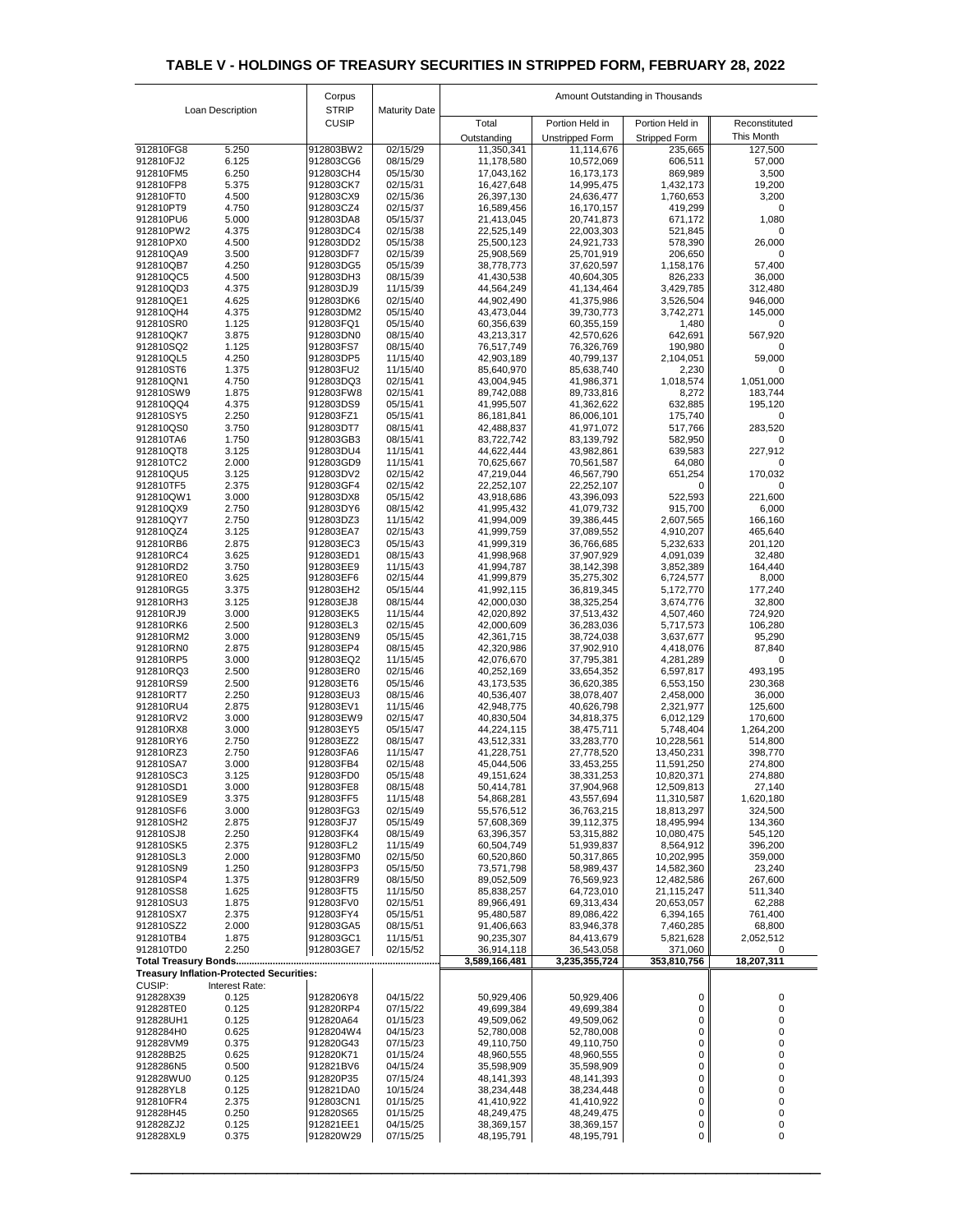|                                                                                    |                  | Corpus                       |                      | Amount Outstanding in Thousands |                          |                            |                      |
|------------------------------------------------------------------------------------|------------------|------------------------------|----------------------|---------------------------------|--------------------------|----------------------------|----------------------|
|                                                                                    | Loan Description | <b>STRIP</b><br><b>CUSIP</b> | <b>Maturity Date</b> | Total                           | Portion Held in          | Portion Held in            | Reconstituted        |
|                                                                                    |                  |                              |                      | Outstanding                     | <b>Unstripped Form</b>   | <b>Stripped Form</b>       | This Month           |
| 912810FG8                                                                          | 5.250            | 912803BW2                    | 02/15/29             | 11,350,341                      | 11,114,676               | 235,665                    | 127,500              |
| 912810FJ2<br>912810FM5                                                             | 6.125<br>6.250   | 912803CG6<br>912803CH4       | 08/15/29<br>05/15/30 | 11,178,580<br>17,043,162        | 10,572,069<br>16,173,173 | 606,511<br>869,989         | 57,000<br>3,500      |
| 912810FP8                                                                          | 5.375            | 912803CK7                    | 02/15/31             | 16,427,648                      | 14,995,475               | 1,432,173                  | 19,200               |
| 912810FT0<br>912810PT9                                                             | 4.500<br>4.750   | 912803CX9<br>912803CZ4       | 02/15/36<br>02/15/37 | 26,397,130<br>16,589,456        | 24,636,477<br>16,170,157 | 1,760,653<br>419,299       | 3,200<br>0           |
| 912810PU6                                                                          | 5.000            | 912803DA8                    | 05/15/37             | 21,413,045                      | 20,741,873               | 671,172                    | 1,080                |
| 912810PW2                                                                          | 4.375            | 912803DC4                    | 02/15/38             | 22,525,149                      | 22,003,303               | 521,845                    |                      |
| 912810PX0<br>912810QA9                                                             | 4.500<br>3.500   | 912803DD2<br>912803DF7       | 05/15/38<br>02/15/39 | 25,500,123<br>25,908,569        | 24,921,733<br>25,701,919 | 578,390<br>206,650         | 26,000               |
| 912810QB7                                                                          | 4.250            | 912803DG5                    | 05/15/39             | 38,778,773                      | 37,620,597               | 1,158,176                  | 57,400               |
| 912810QC5<br>912810QD3                                                             | 4.500<br>4.375   | 912803DH3<br>912803DJ9       | 08/15/39<br>11/15/39 | 41,430,538<br>44,564,249        | 40,604,305<br>41,134,464 | 826,233                    | 36,000<br>312,480    |
| 912810QE1                                                                          | 4.625            | 912803DK6                    | 02/15/40             | 44,902,490                      | 41,375,986               | 3,429,785<br>3,526,504     | 946,000              |
| 912810QH4                                                                          | 4.375            | 912803DM2                    | 05/15/40             | 43,473,044                      | 39,730,773               | 3,742,271                  | 145,000              |
| 912810SR0<br>912810QK7                                                             | 1.125<br>3.875   | 912803FQ1<br>912803DN0       | 05/15/40<br>08/15/40 | 60,356,639<br>43,213,317        | 60,355,159<br>42,570,626 | 1,480<br>642,691           | 567,920              |
| 912810SQ2                                                                          | 1.125            | 912803FS7                    | 08/15/40             | 76,517,749                      | 76,326,769               | 190,980                    |                      |
| 912810QL5<br>912810ST6                                                             | 4.250<br>1.375   | 912803DP5<br>912803FU2       | 11/15/40<br>11/15/40 | 42,903,189                      | 40,799,137               | 2,104,051                  | 59,000               |
| 912810QN1                                                                          | 4.750            | 912803DQ3                    | 02/15/41             | 85,640,970<br>43,004,945        | 85,638,740<br>41,986,371 | 2,230<br>1,018,574         | 1,051,000            |
| 912810SW9                                                                          | 1.875            | 912803FW8                    | 02/15/41             | 89,742,088                      | 89,733,816               | 8,272                      | 183,744              |
| 912810QQ4<br>912810SY5                                                             | 4.375<br>2.250   | 912803DS9<br>912803FZ1       | 05/15/41<br>05/15/41 | 41,995,507<br>86, 181, 841      | 41,362,622<br>86,006,101 | 632,885<br>175,740         | 195,120              |
| 912810QS0                                                                          | 3.750            | 912803DT7                    | 08/15/41             | 42,488,837                      | 41,971,072               | 517,766                    | 283,520              |
| 912810TA6                                                                          | 1.750            | 912803GB3                    | 08/15/41             | 83,722,742                      | 83,139,792               | 582,950                    |                      |
| 912810QT8<br>912810TC2                                                             | 3.125<br>2.000   | 912803DU4<br>912803GD9       | 11/15/41<br>11/15/41 | 44,622,444<br>70,625,667        | 43,982,861<br>70,561,587 | 639,583<br>64,080          | 227,912              |
| 912810QU5                                                                          | 3.125            | 912803DV2                    | 02/15/42             | 47,219,044                      | 46,567,790               | 651,254                    | 170,032              |
| 912810TF5<br>912810QW1                                                             | 2.375<br>3.000   | 912803GF4<br>912803DX8       | 02/15/42<br>05/15/42 | 22,252,107<br>43,918,686        | 22,252,107<br>43,396,093 | 0<br>522,593               | 221,600              |
| 912810QX9                                                                          | 2.750            | 912803DY6                    | 08/15/42             | 41,995,432                      | 41,079,732               | 915,700                    | 6,000                |
| 912810QY7                                                                          | 2.750            | 912803DZ3                    | 11/15/42             | 41,994,009                      | 39,386,445               | 2,607,565                  | 166,160              |
| 912810QZ4<br>912810RB6                                                             | 3.125<br>2.875   | 912803EA7<br>912803EC3       | 02/15/43<br>05/15/43 | 41,999,759<br>41,999,319        | 37,089,552<br>36,766,685 | 4,910,207<br>5,232,633     | 465,640<br>201,120   |
| 912810RC4                                                                          | 3.625            | 912803ED1                    | 08/15/43             | 41,998,968                      | 37,907,929               | 4,091,039                  | 32,480               |
| 912810RD2<br>912810RE0                                                             | 3.750<br>3.625   | 912803EE9<br>912803EF6       | 11/15/43<br>02/15/44 | 41,994,787<br>41,999,879        | 38,142,398<br>35,275,302 | 3,852,389<br>6,724,577     | 164,440<br>8,000     |
| 912810RG5                                                                          | 3.375            | 912803EH2                    | 05/15/44             | 41,992,115                      | 36,819,345               | 5,172,770                  | 177,240              |
| 912810RH3                                                                          | 3.125            | 912803EJ8                    | 08/15/44             | 42,000,030                      | 38,325,254               | 3,674,776                  | 32,800               |
| 912810RJ9<br>912810RK6                                                             | 3.000<br>2.500   | 912803EK5<br>912803EL3       | 11/15/44<br>02/15/45 | 42,020,892<br>42,000,609        | 37,513,432<br>36,283,036 | 4,507,460<br>5,717,573     | 724,920<br>106,280   |
| 912810RM2                                                                          | 3.000            | 912803EN9                    | 05/15/45             | 42,361,715                      | 38,724,038               | 3,637,677                  | 95,290               |
| 912810RN0<br>912810RP5                                                             | 2.875<br>3.000   | 912803EP4<br>912803EQ2       | 08/15/45<br>11/15/45 | 42,320,986<br>42,076,670        | 37,902,910<br>37,795,381 | 4,418,076<br>4,281,289     | 87,840               |
| 912810RQ3                                                                          | 2.500            | 912803ER0                    | 02/15/46             | 40,252,169                      | 33,654,352               | 6,597,817                  | 493,195              |
| 912810RS9                                                                          | 2.500            | 912803ET6                    | 05/15/46             | 43,173,535                      | 36,620,385               | 6,553,150                  | 230,368              |
| 912810RT7<br>912810RU4                                                             | 2.250<br>2.875   | 912803EU3<br>912803EV1       | 08/15/46<br>11/15/46 | 40,536,407<br>42,948,775        | 38,078,407<br>40,626,798 | 2,458,000<br>2,321,977     | 36,000<br>125,600    |
| 912810RV2                                                                          | 3.000            | 912803EW9                    | 02/15/47             | 40,830,504                      | 34,818,375               | 6,012,129                  | 170,600              |
| 912810RX8<br>912810RY6                                                             | 3.000<br>2.750   | 912803EY5<br>912803EZ2       | 05/15/47<br>08/15/47 | 44,224,115<br>43,512,331        | 38,475,711<br>33,283,770 | 5,748,404<br>10,228,561    | 1,264,200<br>514,800 |
| 912810RZ3                                                                          | 2.750            | 912803FA6                    | 11/15/47             | 41,228,751                      | 27,778,520               | 13,450,231                 | 398,770              |
| 912810SA7                                                                          | 3.000            | 912803FB4                    | 02/15/48             | 45,044,506                      | 33,453,255               | 11,591,250                 | 274,800              |
| 912810SC3<br>912810SD1                                                             | 3.125<br>3.000   | 912803FD0<br>912803FE8       | 05/15/48<br>08/15/48 | 49, 151, 624<br>50,414,781      | 38,331,253<br>37,904,968 | 10,820,371<br>12,509,813   | 274,880<br>27,140    |
| 912810SE9                                                                          | 3.375            | 912803FF5                    | 11/15/48             | 54,868,281                      | 43,557,694               | 11,310,587                 | 1,620,180            |
| 912810SF6<br>912810SH2                                                             | 3.000<br>2.875   | 912803FG3<br>912803FJ7       | 02/15/49<br>05/15/49 | 55,576,512<br>57,608,369        | 36,763,215<br>39,112,375 | 18,813,297<br>18,495,994   | 324,500<br>134,360   |
| 912810SJ8                                                                          | 2.250            | 912803FK4                    | 08/15/49             | 63,396,357                      | 53,315,882               | 10,080,475                 | 545,120              |
| 912810SK5                                                                          | 2.375            | 912803FL2                    | 11/15/49             | 60,504,749                      | 51,939,837               | 8,564,912                  | 396,200              |
| 912810SL3<br>912810SN9                                                             | 2.000<br>1.250   | 912803FM0<br>912803FP3       | 02/15/50<br>05/15/50 | 60,520,860<br>73,571,798        | 50,317,865<br>58,989,437 | 10,202,995<br>14,582,360   | 359,000<br>23,240    |
| 912810SP4                                                                          | 1.375            | 912803FR9                    | 08/15/50             | 89,052,509                      | 76,569,923               | 12,482,586                 | 267,600              |
| 912810SS8<br>912810SU3                                                             | 1.625<br>1.875   | 912803FT5<br>912803FV0       | 11/15/50<br>02/15/51 | 85,838,257<br>89,966,491        | 64,723,010<br>69,313,434 | 21,115,247<br>20,653,057   | 511,340<br>62,288    |
| 912810SX7                                                                          | 2.375            | 912803FY4                    | 05/15/51             | 95,480,587                      | 89,086,422               | 6,394,165                  | 761,400              |
| 912810SZ2                                                                          | 2.000            | 912803GA5                    | 08/15/51             | 91,406,663                      | 83,946,378               | 7,460,285                  | 68,800               |
| 912810TB4<br>912810TD0                                                             | 1.875<br>2.250   | 912803GC1<br>912803GE7       | 11/15/51<br>02/15/52 | 90,235,307<br>36,914,118        | 84,413,679<br>36,543,058 | 5,821,628<br>371,060       | 2,052,512            |
|                                                                                    |                  |                              |                      | 3,589,166,481                   | 3,235,355,724            | 353,810,756                | 18,207,311           |
| <b>Treasury Inflation-Protected Securities:</b><br><b>CUSIP:</b><br>Interest Rate: |                  |                              |                      |                                 |                          |                            |                      |
| 912828X39                                                                          | 0.125            | 9128206Y8                    | 04/15/22             | 50,929,406                      | 50,929,406               | 0                          |                      |
| 912828TE0                                                                          | 0.125            | 912820RP4                    | 07/15/22             | 49,699,384                      | 49,699,384               | $\mathbf 0$                |                      |
| 912828UH1<br>9128284H0                                                             | 0.125<br>0.625   | 912820A64<br>9128204W4       | 01/15/23<br>04/15/23 | 49,509,062<br>52,780,008        | 49,509,062<br>52,780,008 | 0<br>$\mathbf 0$           |                      |
| 912828VM9                                                                          | 0.375            | 912820G43                    | 07/15/23             | 49,110,750                      | 49,110,750               | 0                          |                      |
| 912828B25<br>9128286N5                                                             | 0.625<br>0.500   | 912820K71<br>912821BV6       | 01/15/24<br>04/15/24 | 48,960,555<br>35,598,909        | 48,960,555<br>35,598,909 | $\mathbf 0$<br>$\mathbf 0$ |                      |
| 912828WU0                                                                          | 0.125            | 912820P35                    | 07/15/24             | 48,141,393                      | 48,141,393               | $\mathbf 0$                |                      |
| 912828YL8                                                                          | 0.125            | 912821DA0                    | 10/15/24             | 38,234,448                      | 38,234,448               | $\mathbf 0$                |                      |
| 912810FR4<br>912828H45                                                             | 2.375<br>0.250   | 912803CN1<br>912820S65       | 01/15/25<br>01/15/25 | 41,410,922<br>48,249,475        | 41,410,922<br>48,249,475 | $\mathbf 0$<br>$\mathbf 0$ |                      |
| 912828ZJ2                                                                          | 0.125            | 912821EE1                    | 04/15/25             | 38,369,157                      | 38,369,157               | $\mathbf 0$                |                      |
| 912828XL9                                                                          | 0.375            | 912820W29                    | 07/15/25             | 48,195,791                      | 48,195,791               | $\mathbf 0$                | 0                    |